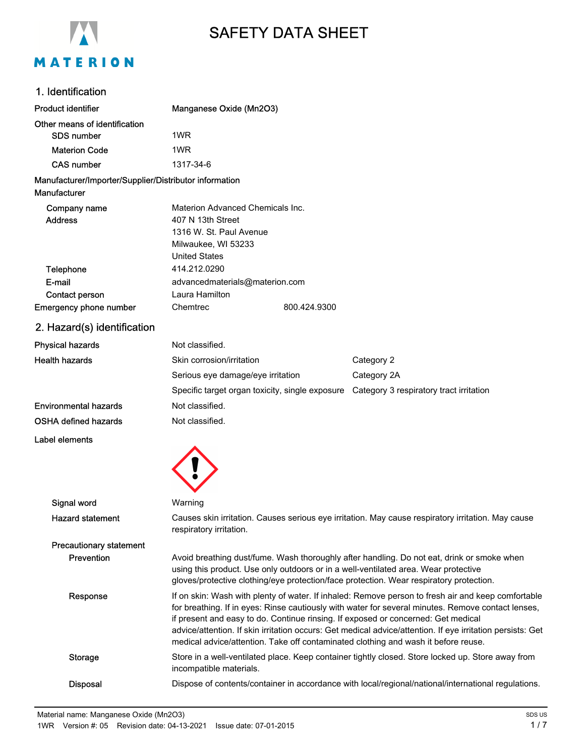

# SAFETY DATA SHEET

# 1. Identification

| <b>Product identifier</b>                              | Manganese Oxide (Mn2O3)                                                                                                                                                                                                                                                                                                                                                                                                                                                                           |              |                                                                                          |  |
|--------------------------------------------------------|---------------------------------------------------------------------------------------------------------------------------------------------------------------------------------------------------------------------------------------------------------------------------------------------------------------------------------------------------------------------------------------------------------------------------------------------------------------------------------------------------|--------------|------------------------------------------------------------------------------------------|--|
| Other means of identification                          |                                                                                                                                                                                                                                                                                                                                                                                                                                                                                                   |              |                                                                                          |  |
| <b>SDS number</b>                                      | 1WR                                                                                                                                                                                                                                                                                                                                                                                                                                                                                               |              |                                                                                          |  |
| <b>Materion Code</b>                                   | 1WR                                                                                                                                                                                                                                                                                                                                                                                                                                                                                               |              |                                                                                          |  |
| <b>CAS number</b>                                      | 1317-34-6                                                                                                                                                                                                                                                                                                                                                                                                                                                                                         |              |                                                                                          |  |
| Manufacturer/Importer/Supplier/Distributor information |                                                                                                                                                                                                                                                                                                                                                                                                                                                                                                   |              |                                                                                          |  |
| Manufacturer                                           |                                                                                                                                                                                                                                                                                                                                                                                                                                                                                                   |              |                                                                                          |  |
| Company name                                           | Materion Advanced Chemicals Inc.                                                                                                                                                                                                                                                                                                                                                                                                                                                                  |              |                                                                                          |  |
| <b>Address</b>                                         | 407 N 13th Street<br>1316 W. St. Paul Avenue                                                                                                                                                                                                                                                                                                                                                                                                                                                      |              |                                                                                          |  |
|                                                        | Milwaukee, WI 53233                                                                                                                                                                                                                                                                                                                                                                                                                                                                               |              |                                                                                          |  |
|                                                        | <b>United States</b>                                                                                                                                                                                                                                                                                                                                                                                                                                                                              |              |                                                                                          |  |
| <b>Telephone</b>                                       | 414.212.0290                                                                                                                                                                                                                                                                                                                                                                                                                                                                                      |              |                                                                                          |  |
| E-mail                                                 | advancedmaterials@materion.com                                                                                                                                                                                                                                                                                                                                                                                                                                                                    |              |                                                                                          |  |
| Contact person                                         | Laura Hamilton                                                                                                                                                                                                                                                                                                                                                                                                                                                                                    |              |                                                                                          |  |
| Emergency phone number                                 | Chemtrec                                                                                                                                                                                                                                                                                                                                                                                                                                                                                          | 800.424.9300 |                                                                                          |  |
| 2. Hazard(s) identification                            |                                                                                                                                                                                                                                                                                                                                                                                                                                                                                                   |              |                                                                                          |  |
| <b>Physical hazards</b>                                | Not classified.                                                                                                                                                                                                                                                                                                                                                                                                                                                                                   |              |                                                                                          |  |
| <b>Health hazards</b>                                  | Skin corrosion/irritation                                                                                                                                                                                                                                                                                                                                                                                                                                                                         |              | Category 2                                                                               |  |
|                                                        | Serious eye damage/eye irritation                                                                                                                                                                                                                                                                                                                                                                                                                                                                 |              | Category 2A                                                                              |  |
|                                                        |                                                                                                                                                                                                                                                                                                                                                                                                                                                                                                   |              | Specific target organ toxicity, single exposure  Category 3 respiratory tract irritation |  |
| <b>Environmental hazards</b>                           | Not classified.                                                                                                                                                                                                                                                                                                                                                                                                                                                                                   |              |                                                                                          |  |
| <b>OSHA defined hazards</b>                            | Not classified.                                                                                                                                                                                                                                                                                                                                                                                                                                                                                   |              |                                                                                          |  |
| Label elements                                         |                                                                                                                                                                                                                                                                                                                                                                                                                                                                                                   |              |                                                                                          |  |
|                                                        |                                                                                                                                                                                                                                                                                                                                                                                                                                                                                                   |              |                                                                                          |  |
|                                                        |                                                                                                                                                                                                                                                                                                                                                                                                                                                                                                   |              |                                                                                          |  |
|                                                        |                                                                                                                                                                                                                                                                                                                                                                                                                                                                                                   |              |                                                                                          |  |
| Signal word                                            | Warning                                                                                                                                                                                                                                                                                                                                                                                                                                                                                           |              |                                                                                          |  |
| <b>Hazard statement</b>                                | Causes skin irritation. Causes serious eye irritation. May cause respiratory irritation. May cause<br>respiratory irritation.                                                                                                                                                                                                                                                                                                                                                                     |              |                                                                                          |  |
| <b>Precautionary statement</b>                         |                                                                                                                                                                                                                                                                                                                                                                                                                                                                                                   |              |                                                                                          |  |
| Prevention                                             | Avoid breathing dust/fume. Wash thoroughly after handling. Do not eat, drink or smoke when<br>using this product. Use only outdoors or in a well-ventilated area. Wear protective<br>gloves/protective clothing/eye protection/face protection. Wear respiratory protection.                                                                                                                                                                                                                      |              |                                                                                          |  |
| Response                                               | If on skin: Wash with plenty of water. If inhaled: Remove person to fresh air and keep comfortable<br>for breathing. If in eyes: Rinse cautiously with water for several minutes. Remove contact lenses,<br>if present and easy to do. Continue rinsing. If exposed or concerned: Get medical<br>advice/attention. If skin irritation occurs: Get medical advice/attention. If eye irritation persists: Get<br>medical advice/attention. Take off contaminated clothing and wash it before reuse. |              |                                                                                          |  |
| <b>Storage</b>                                         | Store in a well-ventilated place. Keep container tightly closed. Store locked up. Store away from<br>incompatible materials.                                                                                                                                                                                                                                                                                                                                                                      |              |                                                                                          |  |
| <b>Disposal</b>                                        | Dispose of contents/container in accordance with local/regional/national/international regulations.                                                                                                                                                                                                                                                                                                                                                                                               |              |                                                                                          |  |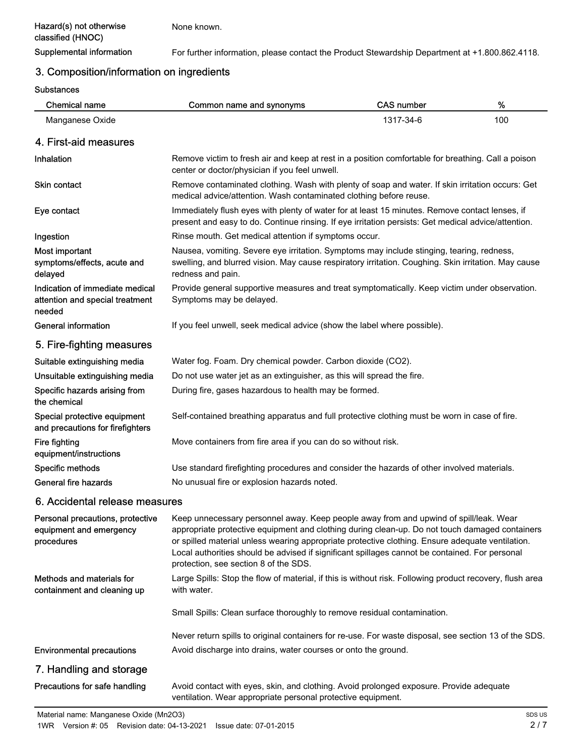None known.

Supplemental information For further information, please contact the Product Stewardship Department at +1.800.862.4118.

# 3. Composition/information on ingredients

**Substances** 

| <b>Chemical name</b>                                                         | Common name and synonyms                                                                                                                                                                                                                                                                                                                                                                                                               | <b>CAS number</b> | $\%$ |
|------------------------------------------------------------------------------|----------------------------------------------------------------------------------------------------------------------------------------------------------------------------------------------------------------------------------------------------------------------------------------------------------------------------------------------------------------------------------------------------------------------------------------|-------------------|------|
| Manganese Oxide                                                              |                                                                                                                                                                                                                                                                                                                                                                                                                                        | 1317-34-6         | 100  |
| 4. First-aid measures                                                        |                                                                                                                                                                                                                                                                                                                                                                                                                                        |                   |      |
| Inhalation                                                                   | Remove victim to fresh air and keep at rest in a position comfortable for breathing. Call a poison<br>center or doctor/physician if you feel unwell.                                                                                                                                                                                                                                                                                   |                   |      |
| <b>Skin contact</b>                                                          | Remove contaminated clothing. Wash with plenty of soap and water. If skin irritation occurs: Get<br>medical advice/attention. Wash contaminated clothing before reuse.                                                                                                                                                                                                                                                                 |                   |      |
| Eye contact                                                                  | Immediately flush eyes with plenty of water for at least 15 minutes. Remove contact lenses, if<br>present and easy to do. Continue rinsing. If eye irritation persists: Get medical advice/attention.                                                                                                                                                                                                                                  |                   |      |
| Ingestion                                                                    | Rinse mouth. Get medical attention if symptoms occur.                                                                                                                                                                                                                                                                                                                                                                                  |                   |      |
| Most important<br>symptoms/effects, acute and<br>delayed                     | Nausea, vomiting. Severe eye irritation. Symptoms may include stinging, tearing, redness,<br>swelling, and blurred vision. May cause respiratory irritation. Coughing. Skin irritation. May cause<br>redness and pain.                                                                                                                                                                                                                 |                   |      |
| Indication of immediate medical<br>attention and special treatment<br>needed | Provide general supportive measures and treat symptomatically. Keep victim under observation.<br>Symptoms may be delayed.                                                                                                                                                                                                                                                                                                              |                   |      |
| <b>General information</b>                                                   | If you feel unwell, seek medical advice (show the label where possible).                                                                                                                                                                                                                                                                                                                                                               |                   |      |
| 5. Fire-fighting measures                                                    |                                                                                                                                                                                                                                                                                                                                                                                                                                        |                   |      |
| Suitable extinguishing media                                                 | Water fog. Foam. Dry chemical powder. Carbon dioxide (CO2).                                                                                                                                                                                                                                                                                                                                                                            |                   |      |
| Unsuitable extinguishing media                                               | Do not use water jet as an extinguisher, as this will spread the fire.                                                                                                                                                                                                                                                                                                                                                                 |                   |      |
| Specific hazards arising from<br>the chemical                                | During fire, gases hazardous to health may be formed.                                                                                                                                                                                                                                                                                                                                                                                  |                   |      |
| Special protective equipment<br>and precautions for firefighters             | Self-contained breathing apparatus and full protective clothing must be worn in case of fire.                                                                                                                                                                                                                                                                                                                                          |                   |      |
| Fire fighting<br>equipment/instructions                                      | Move containers from fire area if you can do so without risk.                                                                                                                                                                                                                                                                                                                                                                          |                   |      |
| Specific methods                                                             | Use standard firefighting procedures and consider the hazards of other involved materials.                                                                                                                                                                                                                                                                                                                                             |                   |      |
| General fire hazards                                                         | No unusual fire or explosion hazards noted.                                                                                                                                                                                                                                                                                                                                                                                            |                   |      |
| 6. Accidental release measures                                               |                                                                                                                                                                                                                                                                                                                                                                                                                                        |                   |      |
| Personal precautions, protective<br>equipment and emergency<br>procedures    | Keep unnecessary personnel away. Keep people away from and upwind of spill/leak. Wear<br>appropriate protective equipment and clothing during clean-up. Do not touch damaged containers<br>or spilled material unless wearing appropriate protective clothing. Ensure adequate ventilation.<br>Local authorities should be advised if significant spillages cannot be contained. For personal<br>protection, see section 8 of the SDS. |                   |      |
| Methods and materials for<br>containment and cleaning up                     | Large Spills: Stop the flow of material, if this is without risk. Following product recovery, flush area<br>with water.                                                                                                                                                                                                                                                                                                                |                   |      |
|                                                                              | Small Spills: Clean surface thoroughly to remove residual contamination.                                                                                                                                                                                                                                                                                                                                                               |                   |      |
|                                                                              | Never return spills to original containers for re-use. For waste disposal, see section 13 of the SDS.                                                                                                                                                                                                                                                                                                                                  |                   |      |
| <b>Environmental precautions</b>                                             | Avoid discharge into drains, water courses or onto the ground.                                                                                                                                                                                                                                                                                                                                                                         |                   |      |
| 7. Handling and storage                                                      |                                                                                                                                                                                                                                                                                                                                                                                                                                        |                   |      |
| Precautions for safe handling                                                | Avoid contact with eyes, skin, and clothing. Avoid prolonged exposure. Provide adequate<br>ventilation. Wear appropriate personal protective equipment.                                                                                                                                                                                                                                                                                |                   |      |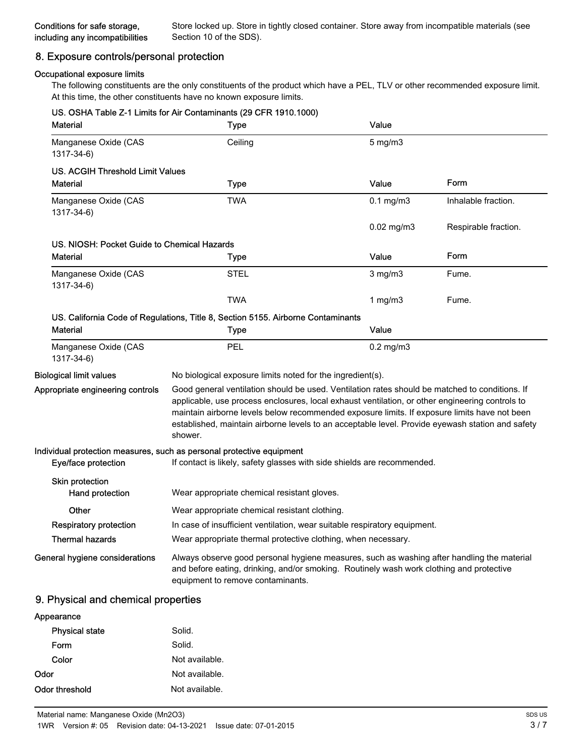# 8. Exposure controls/personal protection

#### Occupational exposure limits

The following constituents are the only constituents of the product which have a PEL, TLV or other recommended exposure limit. At this time, the other constituents have no known exposure limits.

| <b>Material</b>                             | US. OSHA Table Z-1 Limits for Air Contaminants (29 CFR 1910.1000)<br>Type                                                                                                                                                                                                                                                                                                                                        | Value           |                      |
|---------------------------------------------|------------------------------------------------------------------------------------------------------------------------------------------------------------------------------------------------------------------------------------------------------------------------------------------------------------------------------------------------------------------------------------------------------------------|-----------------|----------------------|
| Manganese Oxide (CAS<br>1317-34-6)          | Ceiling                                                                                                                                                                                                                                                                                                                                                                                                          | $5$ mg/m $3$    |                      |
| <b>US. ACGIH Threshold Limit Values</b>     |                                                                                                                                                                                                                                                                                                                                                                                                                  |                 |                      |
| Material                                    | <b>Type</b>                                                                                                                                                                                                                                                                                                                                                                                                      | Value           | Form                 |
| Manganese Oxide (CAS<br>1317-34-6)          | <b>TWA</b>                                                                                                                                                                                                                                                                                                                                                                                                       | $0.1$ mg/m $3$  | Inhalable fraction.  |
|                                             |                                                                                                                                                                                                                                                                                                                                                                                                                  | $0.02$ mg/m $3$ | Respirable fraction. |
| US. NIOSH: Pocket Guide to Chemical Hazards |                                                                                                                                                                                                                                                                                                                                                                                                                  |                 |                      |
| <b>Material</b>                             | <b>Type</b>                                                                                                                                                                                                                                                                                                                                                                                                      | Value           | Form                 |
| Manganese Oxide (CAS<br>1317-34-6)          | <b>STEL</b>                                                                                                                                                                                                                                                                                                                                                                                                      | $3$ mg/m $3$    | Fume.                |
|                                             | <b>TWA</b>                                                                                                                                                                                                                                                                                                                                                                                                       | 1 $mg/m3$       | Fume.                |
|                                             | US. California Code of Regulations, Title 8, Section 5155. Airborne Contaminants                                                                                                                                                                                                                                                                                                                                 |                 |                      |
| <b>Material</b>                             | <b>Type</b>                                                                                                                                                                                                                                                                                                                                                                                                      | Value           |                      |
| Manganese Oxide (CAS<br>1317-34-6)          | <b>PEL</b>                                                                                                                                                                                                                                                                                                                                                                                                       | $0.2$ mg/m $3$  |                      |
| <b>Biological limit values</b>              | No biological exposure limits noted for the ingredient(s).                                                                                                                                                                                                                                                                                                                                                       |                 |                      |
| Appropriate engineering controls            | Good general ventilation should be used. Ventilation rates should be matched to conditions. If<br>applicable, use process enclosures, local exhaust ventilation, or other engineering controls to<br>maintain airborne levels below recommended exposure limits. If exposure limits have not been<br>established, maintain airborne levels to an acceptable level. Provide eyewash station and safety<br>shower. |                 |                      |
|                                             | Individual protection measures, such as personal protective equipment                                                                                                                                                                                                                                                                                                                                            |                 |                      |
| Eye/face protection                         | If contact is likely, safety glasses with side shields are recommended.                                                                                                                                                                                                                                                                                                                                          |                 |                      |
| Skin protection<br>Hand protection          | Wear appropriate chemical resistant gloves.                                                                                                                                                                                                                                                                                                                                                                      |                 |                      |
| Other                                       | Wear appropriate chemical resistant clothing.                                                                                                                                                                                                                                                                                                                                                                    |                 |                      |
| <b>Respiratory protection</b>               | In case of insufficient ventilation, wear suitable respiratory equipment.                                                                                                                                                                                                                                                                                                                                        |                 |                      |
| <b>Thermal hazards</b>                      | Wear appropriate thermal protective clothing, when necessary.                                                                                                                                                                                                                                                                                                                                                    |                 |                      |
| General hygiene considerations              | Always observe good personal hygiene measures, such as washing after handling the material<br>and before eating, drinking, and/or smoking. Routinely wash work clothing and protective<br>equipment to remove contaminants.                                                                                                                                                                                      |                 |                      |
| 9. Physical and chemical properties         |                                                                                                                                                                                                                                                                                                                                                                                                                  |                 |                      |
| Appearance                                  |                                                                                                                                                                                                                                                                                                                                                                                                                  |                 |                      |
| <b>Physical state</b>                       | Solid.                                                                                                                                                                                                                                                                                                                                                                                                           |                 |                      |

| Form           | Solid.         |
|----------------|----------------|
| Color          | Not available. |
| Odor           | Not available. |
| Odor threshold | Not available. |
|                |                |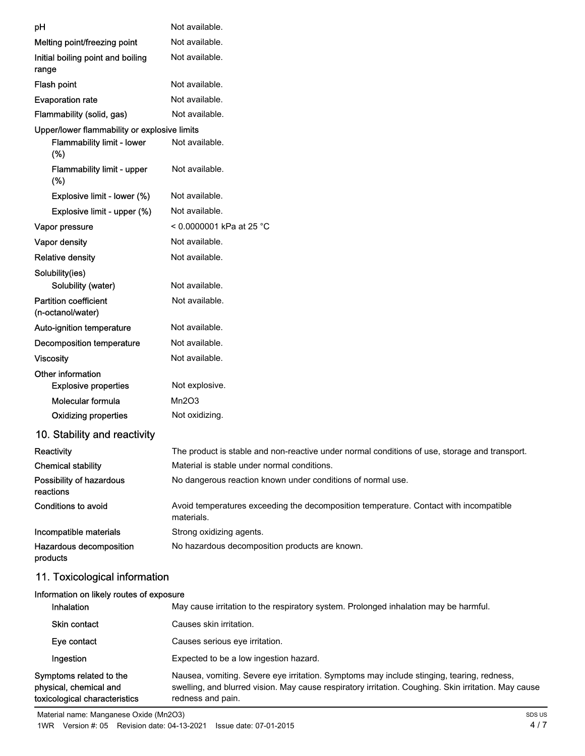| pH                                                     | Not available.                                                                                      |
|--------------------------------------------------------|-----------------------------------------------------------------------------------------------------|
| Melting point/freezing point                           | Not available.                                                                                      |
| Initial boiling point and boiling<br>range             | Not available.                                                                                      |
| Flash point                                            | Not available.                                                                                      |
| <b>Evaporation rate</b>                                | Not available.                                                                                      |
| Flammability (solid, gas)                              | Not available.                                                                                      |
| Upper/lower flammability or explosive limits           |                                                                                                     |
| <b>Flammability limit - lower</b><br>(%)               | Not available.                                                                                      |
| Flammability limit - upper<br>(%)                      | Not available.                                                                                      |
| Explosive limit - lower (%)                            | Not available.                                                                                      |
| Explosive limit - upper (%)                            | Not available.                                                                                      |
| Vapor pressure                                         | < 0.0000001 kPa at 25 °C                                                                            |
| Vapor density                                          | Not available.                                                                                      |
| <b>Relative density</b>                                | Not available.                                                                                      |
| Solubility(ies)<br>Solubility (water)                  | Not available.                                                                                      |
| <b>Partition coefficient</b><br>(n-octanol/water)      | Not available.                                                                                      |
| Auto-ignition temperature                              | Not available.                                                                                      |
| <b>Decomposition temperature</b>                       | Not available.                                                                                      |
| <b>Viscosity</b>                                       | Not available.                                                                                      |
| Other information<br><b>Explosive properties</b>       | Not explosive.                                                                                      |
| Molecular formula                                      | Mn2O3                                                                                               |
| <b>Oxidizing properties</b>                            | Not oxidizing.                                                                                      |
| 10. Stability and reactivity                           |                                                                                                     |
| Reactivity                                             | The product is stable and non-reactive under normal conditions of use, storage and transport.       |
| <b>Chemical stability</b>                              | Material is stable under normal conditions.                                                         |
| Possibility of hazardous<br>reactions                  | No dangerous reaction known under conditions of normal use.                                         |
| Conditions to avoid                                    | Avoid temperatures exceeding the decomposition temperature. Contact with incompatible<br>materials. |
| Incompatible materials                                 | Strong oxidizing agents.                                                                            |
| Hazardous decomposition<br>products                    | No hazardous decomposition products are known.                                                      |
| 11. Toxicological information                          |                                                                                                     |
| Information on likely routes of exposure<br>Inhalation | May cause irritation to the respiratory system. Prolonged inhalation may be harmful.                |
| Skin contact                                           | Causes skin irritation                                                                              |

|                                                                                    | $\frac{1}{2}$ . The second interference is a separately dependent to the second of interference in the second second interference in the second second interference in the second second second in the second second second secon |
|------------------------------------------------------------------------------------|-----------------------------------------------------------------------------------------------------------------------------------------------------------------------------------------------------------------------------------|
| <b>Skin contact</b>                                                                | Causes skin irritation.                                                                                                                                                                                                           |
| Eye contact                                                                        | Causes serious eve irritation.                                                                                                                                                                                                    |
| Ingestion                                                                          | Expected to be a low ingestion hazard.                                                                                                                                                                                            |
| Symptoms related to the<br>physical, chemical and<br>toxicological characteristics | Nausea, vomiting. Severe eye irritation. Symptoms may include stinging, tearing, redness,<br>swelling, and blurred vision. May cause respiratory irritation. Coughing. Skin irritation. May cause<br>redness and pain.            |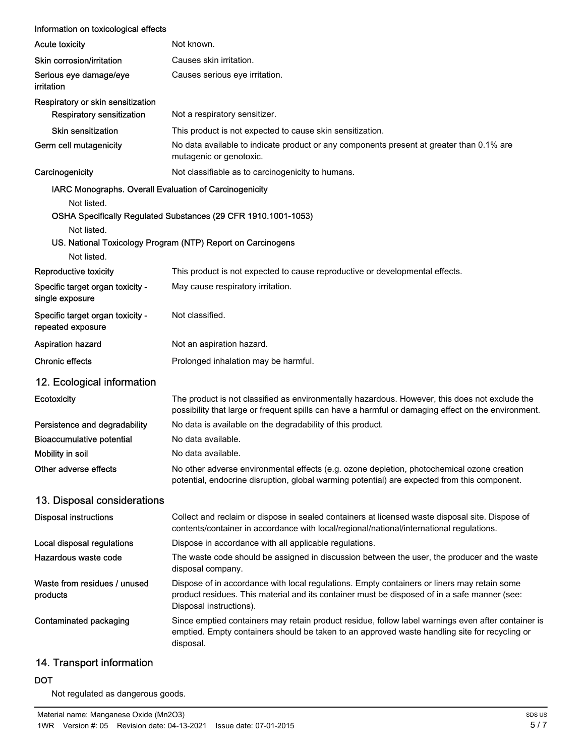| <b>Acute toxicity</b><br>Not known.<br>Skin corrosion/irritation<br>Causes skin irritation.<br>Serious eye damage/eye<br>Causes serious eye irritation.<br>irritation<br>Respiratory or skin sensitization<br><b>Respiratory sensitization</b><br>Not a respiratory sensitizer.<br><b>Skin sensitization</b><br>This product is not expected to cause skin sensitization.<br>Germ cell mutagenicity<br>No data available to indicate product or any components present at greater than 0.1% are<br>mutagenic or genotoxic.<br>Carcinogenicity<br>Not classifiable as to carcinogenicity to humans.<br>IARC Monographs. Overall Evaluation of Carcinogenicity<br>Not listed.<br>OSHA Specifically Regulated Substances (29 CFR 1910.1001-1053)<br>Not listed.<br>US. National Toxicology Program (NTP) Report on Carcinogens<br>Not listed.<br>This product is not expected to cause reproductive or developmental effects.<br>Reproductive toxicity<br>Specific target organ toxicity -<br>May cause respiratory irritation.<br>single exposure<br>Specific target organ toxicity -<br>Not classified.<br>repeated exposure<br>Aspiration hazard<br>Not an aspiration hazard.<br><b>Chronic effects</b><br>Prolonged inhalation may be harmful.<br>12. Ecological information<br>The product is not classified as environmentally hazardous. However, this does not exclude the<br>Ecotoxicity<br>possibility that large or frequent spills can have a harmful or damaging effect on the environment.<br>Persistence and degradability<br>No data is available on the degradability of this product.<br><b>Bioaccumulative potential</b><br>No data available.<br>Mobility in soil<br>No data available<br>No other adverse environmental effects (e.g. ozone depletion, photochemical ozone creation<br>Other adverse effects<br>potential, endocrine disruption, global warming potential) are expected from this component.<br>13. Disposal considerations<br><b>Disposal instructions</b><br>Collect and reclaim or dispose in sealed containers at licensed waste disposal site. Dispose of<br>contents/container in accordance with local/regional/national/international regulations.<br>Dispose in accordance with all applicable regulations.<br>Local disposal regulations<br>Hazardous waste code<br>The waste code should be assigned in discussion between the user, the producer and the waste<br>disposal company.<br>Waste from residues / unused<br>Dispose of in accordance with local regulations. Empty containers or liners may retain some<br>product residues. This material and its container must be disposed of in a safe manner (see:<br>products<br>Disposal instructions).<br>Since emptied containers may retain product residue, follow label warnings even after container is<br>Contaminated packaging<br>emptied. Empty containers should be taken to an approved waste handling site for recycling or<br>disposal. | Information on toxicological effects |  |
|-------------------------------------------------------------------------------------------------------------------------------------------------------------------------------------------------------------------------------------------------------------------------------------------------------------------------------------------------------------------------------------------------------------------------------------------------------------------------------------------------------------------------------------------------------------------------------------------------------------------------------------------------------------------------------------------------------------------------------------------------------------------------------------------------------------------------------------------------------------------------------------------------------------------------------------------------------------------------------------------------------------------------------------------------------------------------------------------------------------------------------------------------------------------------------------------------------------------------------------------------------------------------------------------------------------------------------------------------------------------------------------------------------------------------------------------------------------------------------------------------------------------------------------------------------------------------------------------------------------------------------------------------------------------------------------------------------------------------------------------------------------------------------------------------------------------------------------------------------------------------------------------------------------------------------------------------------------------------------------------------------------------------------------------------------------------------------------------------------------------------------------------------------------------------------------------------------------------------------------------------------------------------------------------------------------------------------------------------------------------------------------------------------------------------------------------------------------------------------------------------------------------------------------------------------------------------------------------------------------------------------------------------------------------------------------------------------------------------------------------------------------------------------------------------------------------------------------------------------------------------------------------------------------------------------------------------------|--------------------------------------|--|
|                                                                                                                                                                                                                                                                                                                                                                                                                                                                                                                                                                                                                                                                                                                                                                                                                                                                                                                                                                                                                                                                                                                                                                                                                                                                                                                                                                                                                                                                                                                                                                                                                                                                                                                                                                                                                                                                                                                                                                                                                                                                                                                                                                                                                                                                                                                                                                                                                                                                                                                                                                                                                                                                                                                                                                                                                                                                                                                                                       |                                      |  |
|                                                                                                                                                                                                                                                                                                                                                                                                                                                                                                                                                                                                                                                                                                                                                                                                                                                                                                                                                                                                                                                                                                                                                                                                                                                                                                                                                                                                                                                                                                                                                                                                                                                                                                                                                                                                                                                                                                                                                                                                                                                                                                                                                                                                                                                                                                                                                                                                                                                                                                                                                                                                                                                                                                                                                                                                                                                                                                                                                       |                                      |  |
|                                                                                                                                                                                                                                                                                                                                                                                                                                                                                                                                                                                                                                                                                                                                                                                                                                                                                                                                                                                                                                                                                                                                                                                                                                                                                                                                                                                                                                                                                                                                                                                                                                                                                                                                                                                                                                                                                                                                                                                                                                                                                                                                                                                                                                                                                                                                                                                                                                                                                                                                                                                                                                                                                                                                                                                                                                                                                                                                                       |                                      |  |
|                                                                                                                                                                                                                                                                                                                                                                                                                                                                                                                                                                                                                                                                                                                                                                                                                                                                                                                                                                                                                                                                                                                                                                                                                                                                                                                                                                                                                                                                                                                                                                                                                                                                                                                                                                                                                                                                                                                                                                                                                                                                                                                                                                                                                                                                                                                                                                                                                                                                                                                                                                                                                                                                                                                                                                                                                                                                                                                                                       |                                      |  |
|                                                                                                                                                                                                                                                                                                                                                                                                                                                                                                                                                                                                                                                                                                                                                                                                                                                                                                                                                                                                                                                                                                                                                                                                                                                                                                                                                                                                                                                                                                                                                                                                                                                                                                                                                                                                                                                                                                                                                                                                                                                                                                                                                                                                                                                                                                                                                                                                                                                                                                                                                                                                                                                                                                                                                                                                                                                                                                                                                       |                                      |  |
|                                                                                                                                                                                                                                                                                                                                                                                                                                                                                                                                                                                                                                                                                                                                                                                                                                                                                                                                                                                                                                                                                                                                                                                                                                                                                                                                                                                                                                                                                                                                                                                                                                                                                                                                                                                                                                                                                                                                                                                                                                                                                                                                                                                                                                                                                                                                                                                                                                                                                                                                                                                                                                                                                                                                                                                                                                                                                                                                                       |                                      |  |
|                                                                                                                                                                                                                                                                                                                                                                                                                                                                                                                                                                                                                                                                                                                                                                                                                                                                                                                                                                                                                                                                                                                                                                                                                                                                                                                                                                                                                                                                                                                                                                                                                                                                                                                                                                                                                                                                                                                                                                                                                                                                                                                                                                                                                                                                                                                                                                                                                                                                                                                                                                                                                                                                                                                                                                                                                                                                                                                                                       |                                      |  |
|                                                                                                                                                                                                                                                                                                                                                                                                                                                                                                                                                                                                                                                                                                                                                                                                                                                                                                                                                                                                                                                                                                                                                                                                                                                                                                                                                                                                                                                                                                                                                                                                                                                                                                                                                                                                                                                                                                                                                                                                                                                                                                                                                                                                                                                                                                                                                                                                                                                                                                                                                                                                                                                                                                                                                                                                                                                                                                                                                       |                                      |  |
|                                                                                                                                                                                                                                                                                                                                                                                                                                                                                                                                                                                                                                                                                                                                                                                                                                                                                                                                                                                                                                                                                                                                                                                                                                                                                                                                                                                                                                                                                                                                                                                                                                                                                                                                                                                                                                                                                                                                                                                                                                                                                                                                                                                                                                                                                                                                                                                                                                                                                                                                                                                                                                                                                                                                                                                                                                                                                                                                                       |                                      |  |
|                                                                                                                                                                                                                                                                                                                                                                                                                                                                                                                                                                                                                                                                                                                                                                                                                                                                                                                                                                                                                                                                                                                                                                                                                                                                                                                                                                                                                                                                                                                                                                                                                                                                                                                                                                                                                                                                                                                                                                                                                                                                                                                                                                                                                                                                                                                                                                                                                                                                                                                                                                                                                                                                                                                                                                                                                                                                                                                                                       |                                      |  |
|                                                                                                                                                                                                                                                                                                                                                                                                                                                                                                                                                                                                                                                                                                                                                                                                                                                                                                                                                                                                                                                                                                                                                                                                                                                                                                                                                                                                                                                                                                                                                                                                                                                                                                                                                                                                                                                                                                                                                                                                                                                                                                                                                                                                                                                                                                                                                                                                                                                                                                                                                                                                                                                                                                                                                                                                                                                                                                                                                       |                                      |  |
|                                                                                                                                                                                                                                                                                                                                                                                                                                                                                                                                                                                                                                                                                                                                                                                                                                                                                                                                                                                                                                                                                                                                                                                                                                                                                                                                                                                                                                                                                                                                                                                                                                                                                                                                                                                                                                                                                                                                                                                                                                                                                                                                                                                                                                                                                                                                                                                                                                                                                                                                                                                                                                                                                                                                                                                                                                                                                                                                                       |                                      |  |
|                                                                                                                                                                                                                                                                                                                                                                                                                                                                                                                                                                                                                                                                                                                                                                                                                                                                                                                                                                                                                                                                                                                                                                                                                                                                                                                                                                                                                                                                                                                                                                                                                                                                                                                                                                                                                                                                                                                                                                                                                                                                                                                                                                                                                                                                                                                                                                                                                                                                                                                                                                                                                                                                                                                                                                                                                                                                                                                                                       |                                      |  |
|                                                                                                                                                                                                                                                                                                                                                                                                                                                                                                                                                                                                                                                                                                                                                                                                                                                                                                                                                                                                                                                                                                                                                                                                                                                                                                                                                                                                                                                                                                                                                                                                                                                                                                                                                                                                                                                                                                                                                                                                                                                                                                                                                                                                                                                                                                                                                                                                                                                                                                                                                                                                                                                                                                                                                                                                                                                                                                                                                       |                                      |  |
|                                                                                                                                                                                                                                                                                                                                                                                                                                                                                                                                                                                                                                                                                                                                                                                                                                                                                                                                                                                                                                                                                                                                                                                                                                                                                                                                                                                                                                                                                                                                                                                                                                                                                                                                                                                                                                                                                                                                                                                                                                                                                                                                                                                                                                                                                                                                                                                                                                                                                                                                                                                                                                                                                                                                                                                                                                                                                                                                                       |                                      |  |
|                                                                                                                                                                                                                                                                                                                                                                                                                                                                                                                                                                                                                                                                                                                                                                                                                                                                                                                                                                                                                                                                                                                                                                                                                                                                                                                                                                                                                                                                                                                                                                                                                                                                                                                                                                                                                                                                                                                                                                                                                                                                                                                                                                                                                                                                                                                                                                                                                                                                                                                                                                                                                                                                                                                                                                                                                                                                                                                                                       |                                      |  |
|                                                                                                                                                                                                                                                                                                                                                                                                                                                                                                                                                                                                                                                                                                                                                                                                                                                                                                                                                                                                                                                                                                                                                                                                                                                                                                                                                                                                                                                                                                                                                                                                                                                                                                                                                                                                                                                                                                                                                                                                                                                                                                                                                                                                                                                                                                                                                                                                                                                                                                                                                                                                                                                                                                                                                                                                                                                                                                                                                       |                                      |  |
|                                                                                                                                                                                                                                                                                                                                                                                                                                                                                                                                                                                                                                                                                                                                                                                                                                                                                                                                                                                                                                                                                                                                                                                                                                                                                                                                                                                                                                                                                                                                                                                                                                                                                                                                                                                                                                                                                                                                                                                                                                                                                                                                                                                                                                                                                                                                                                                                                                                                                                                                                                                                                                                                                                                                                                                                                                                                                                                                                       |                                      |  |
|                                                                                                                                                                                                                                                                                                                                                                                                                                                                                                                                                                                                                                                                                                                                                                                                                                                                                                                                                                                                                                                                                                                                                                                                                                                                                                                                                                                                                                                                                                                                                                                                                                                                                                                                                                                                                                                                                                                                                                                                                                                                                                                                                                                                                                                                                                                                                                                                                                                                                                                                                                                                                                                                                                                                                                                                                                                                                                                                                       |                                      |  |
|                                                                                                                                                                                                                                                                                                                                                                                                                                                                                                                                                                                                                                                                                                                                                                                                                                                                                                                                                                                                                                                                                                                                                                                                                                                                                                                                                                                                                                                                                                                                                                                                                                                                                                                                                                                                                                                                                                                                                                                                                                                                                                                                                                                                                                                                                                                                                                                                                                                                                                                                                                                                                                                                                                                                                                                                                                                                                                                                                       |                                      |  |
|                                                                                                                                                                                                                                                                                                                                                                                                                                                                                                                                                                                                                                                                                                                                                                                                                                                                                                                                                                                                                                                                                                                                                                                                                                                                                                                                                                                                                                                                                                                                                                                                                                                                                                                                                                                                                                                                                                                                                                                                                                                                                                                                                                                                                                                                                                                                                                                                                                                                                                                                                                                                                                                                                                                                                                                                                                                                                                                                                       |                                      |  |
|                                                                                                                                                                                                                                                                                                                                                                                                                                                                                                                                                                                                                                                                                                                                                                                                                                                                                                                                                                                                                                                                                                                                                                                                                                                                                                                                                                                                                                                                                                                                                                                                                                                                                                                                                                                                                                                                                                                                                                                                                                                                                                                                                                                                                                                                                                                                                                                                                                                                                                                                                                                                                                                                                                                                                                                                                                                                                                                                                       |                                      |  |
|                                                                                                                                                                                                                                                                                                                                                                                                                                                                                                                                                                                                                                                                                                                                                                                                                                                                                                                                                                                                                                                                                                                                                                                                                                                                                                                                                                                                                                                                                                                                                                                                                                                                                                                                                                                                                                                                                                                                                                                                                                                                                                                                                                                                                                                                                                                                                                                                                                                                                                                                                                                                                                                                                                                                                                                                                                                                                                                                                       |                                      |  |
|                                                                                                                                                                                                                                                                                                                                                                                                                                                                                                                                                                                                                                                                                                                                                                                                                                                                                                                                                                                                                                                                                                                                                                                                                                                                                                                                                                                                                                                                                                                                                                                                                                                                                                                                                                                                                                                                                                                                                                                                                                                                                                                                                                                                                                                                                                                                                                                                                                                                                                                                                                                                                                                                                                                                                                                                                                                                                                                                                       |                                      |  |
|                                                                                                                                                                                                                                                                                                                                                                                                                                                                                                                                                                                                                                                                                                                                                                                                                                                                                                                                                                                                                                                                                                                                                                                                                                                                                                                                                                                                                                                                                                                                                                                                                                                                                                                                                                                                                                                                                                                                                                                                                                                                                                                                                                                                                                                                                                                                                                                                                                                                                                                                                                                                                                                                                                                                                                                                                                                                                                                                                       |                                      |  |
|                                                                                                                                                                                                                                                                                                                                                                                                                                                                                                                                                                                                                                                                                                                                                                                                                                                                                                                                                                                                                                                                                                                                                                                                                                                                                                                                                                                                                                                                                                                                                                                                                                                                                                                                                                                                                                                                                                                                                                                                                                                                                                                                                                                                                                                                                                                                                                                                                                                                                                                                                                                                                                                                                                                                                                                                                                                                                                                                                       |                                      |  |

# 14. Transport information

# DOT

Not regulated as dangerous goods.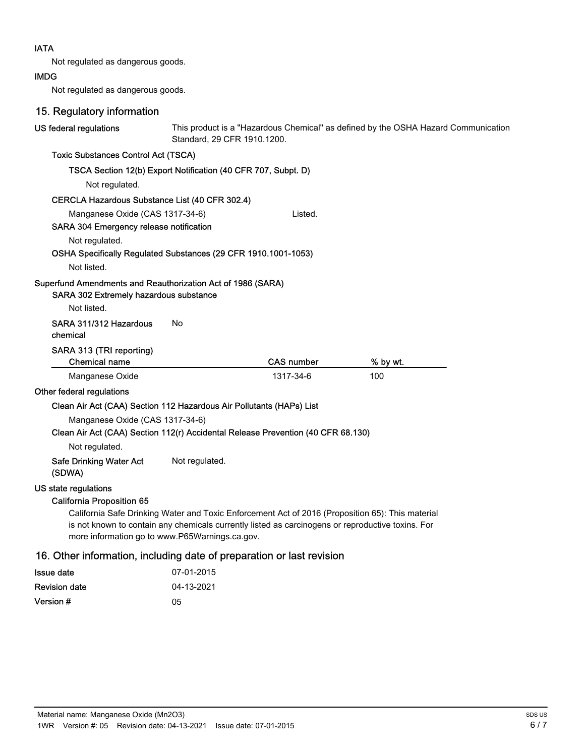## IATA

Not regulated as dangerous goods.

#### IMDG

Not regulated as dangerous goods.

# 15. Regulatory information

| US federal regulations                                                                                     | Standard, 29 CFR 1910.1200.                                                                                                                                                                           |                   | This product is a "Hazardous Chemical" as defined by the OSHA Hazard Communication |
|------------------------------------------------------------------------------------------------------------|-------------------------------------------------------------------------------------------------------------------------------------------------------------------------------------------------------|-------------------|------------------------------------------------------------------------------------|
| <b>Toxic Substances Control Act (TSCA)</b>                                                                 |                                                                                                                                                                                                       |                   |                                                                                    |
|                                                                                                            | TSCA Section 12(b) Export Notification (40 CFR 707, Subpt. D)                                                                                                                                         |                   |                                                                                    |
| Not regulated.                                                                                             |                                                                                                                                                                                                       |                   |                                                                                    |
| CERCLA Hazardous Substance List (40 CFR 302.4)                                                             |                                                                                                                                                                                                       |                   |                                                                                    |
| Manganese Oxide (CAS 1317-34-6)<br>SARA 304 Emergency release notification                                 |                                                                                                                                                                                                       | Listed.           |                                                                                    |
| Not regulated.                                                                                             |                                                                                                                                                                                                       |                   |                                                                                    |
| OSHA Specifically Regulated Substances (29 CFR 1910.1001-1053)                                             |                                                                                                                                                                                                       |                   |                                                                                    |
| Not listed.                                                                                                |                                                                                                                                                                                                       |                   |                                                                                    |
| Superfund Amendments and Reauthorization Act of 1986 (SARA)<br>SARA 302 Extremely hazardous substance      |                                                                                                                                                                                                       |                   |                                                                                    |
| Not listed.                                                                                                |                                                                                                                                                                                                       |                   |                                                                                    |
| SARA 311/312 Hazardous<br>chemical                                                                         | No                                                                                                                                                                                                    |                   |                                                                                    |
|                                                                                                            |                                                                                                                                                                                                       |                   |                                                                                    |
| SARA 313 (TRI reporting)<br><b>Chemical name</b>                                                           |                                                                                                                                                                                                       | <b>CAS number</b> | % by wt.                                                                           |
| Manganese Oxide                                                                                            |                                                                                                                                                                                                       | 1317-34-6         | 100                                                                                |
| Other federal regulations                                                                                  |                                                                                                                                                                                                       |                   |                                                                                    |
| Clean Air Act (CAA) Section 112 Hazardous Air Pollutants (HAPs) List                                       |                                                                                                                                                                                                       |                   |                                                                                    |
| Manganese Oxide (CAS 1317-34-6)                                                                            |                                                                                                                                                                                                       |                   |                                                                                    |
| Clean Air Act (CAA) Section 112(r) Accidental Release Prevention (40 CFR 68.130)                           |                                                                                                                                                                                                       |                   |                                                                                    |
| Not regulated.                                                                                             |                                                                                                                                                                                                       |                   |                                                                                    |
| <b>Safe Drinking Water Act</b><br>(SDWA)                                                                   | Not regulated.                                                                                                                                                                                        |                   |                                                                                    |
| US state regulations<br><b>California Proposition 65</b><br>more information go to www.P65Warnings.ca.gov. | California Safe Drinking Water and Toxic Enforcement Act of 2016 (Proposition 65): This material<br>is not known to contain any chemicals currently listed as carcinogens or reproductive toxins. For |                   |                                                                                    |

| Issue date           | 07-01-2015 |
|----------------------|------------|
| <b>Revision date</b> | 04-13-2021 |
| Version #            | 05         |